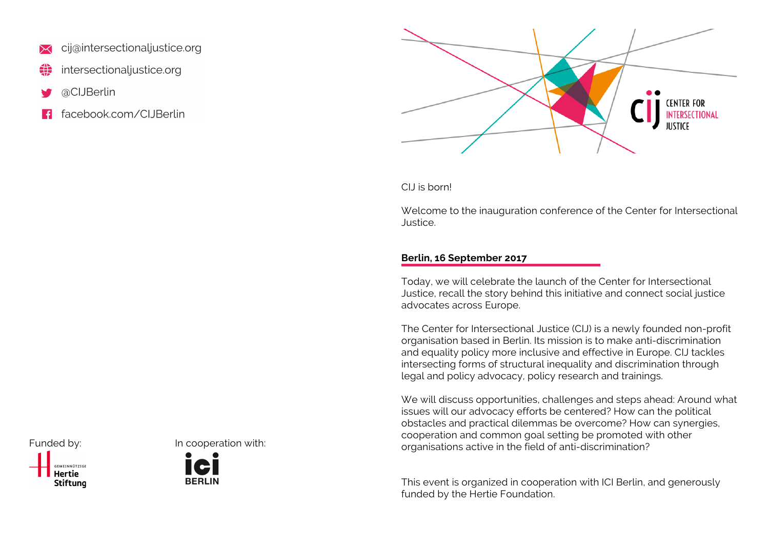- cij@intersectionaljustice.org
- intersectionaljustice.org
- @CIJBerlin
- facebook.com/ClJBerlin



CIJ is born!

Welcome to the inauguration conference of the Center for Intersectional Justice.

## **Berlin, 16 September 2017**

Today, we will celebrate the launch of the Center for Intersectional Justice, recall the story behind this initiative and connect social justice advocates across Europe.

The Center for Intersectional Justice (CIJ) is a newly founded non-profit organisation based in Berlin. Its mission is to make anti-discrimination and equality policy more inclusive and effective in Europe. CIJ tackles intersecting forms of structural inequality and discrimination through legal and policy advocacy, policy research and trainings.

We will discuss opportunities, challenges and steps ahead: Around what issues will our advocacy efforts be centered? How can the political obstacles and practical dilemmas be overcome? How can synergies, cooperation and common goal setting be promoted with other organisations active in the field of anti-discrimination?

This event is organized in cooperation with ICI Berlin, and generously funded by the Hertie Foundation.



Funded by: In cooperation with: